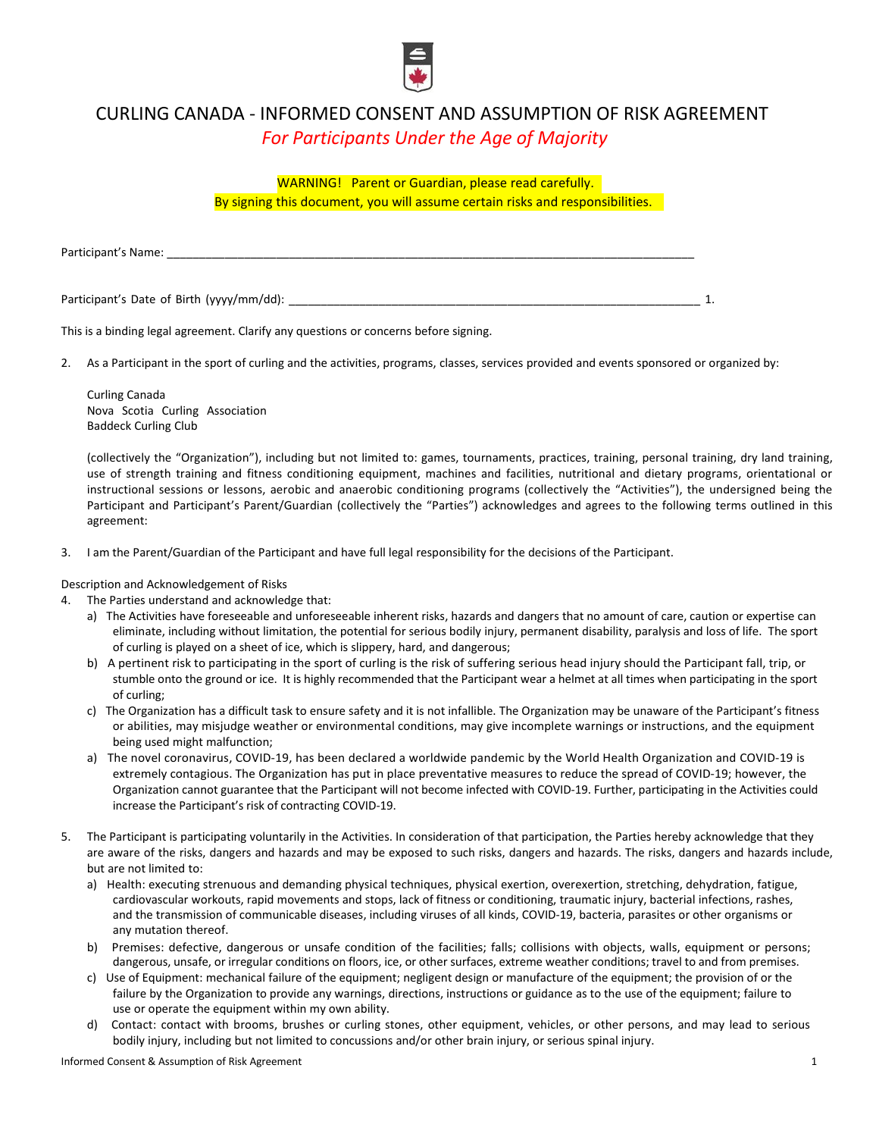

## CURLING CANADA - INFORMED CONSENT AND ASSUMPTION OF RISK AGREEMENT *For Participants Under the Age of Majority*

WARNING! Parent or Guardian, please read carefully.

By signing this document, you will assume certain risks and responsibilities.

Participant's Name:

Participant's Date of Birth (yyyy/mm/dd): \_\_\_\_\_\_\_\_\_\_\_\_\_\_\_\_\_\_\_\_\_\_\_\_\_\_\_\_\_\_\_\_\_\_\_\_\_\_\_\_\_\_\_\_\_\_\_\_\_\_\_\_\_\_\_\_\_\_\_\_\_\_\_\_ 1.

This is a binding legal agreement. Clarify any questions or concerns before signing.

2. As a Participant in the sport of curling and the activities, programs, classes, services provided and events sponsored or organized by:

Curling Canada Nova Scotia Curling Association Baddeck Curling Club

(collectively the "Organization"), including but not limited to: games, tournaments, practices, training, personal training, dry land training, use of strength training and fitness conditioning equipment, machines and facilities, nutritional and dietary programs, orientational or instructional sessions or lessons, aerobic and anaerobic conditioning programs (collectively the "Activities"), the undersigned being the Participant and Participant's Parent/Guardian (collectively the "Parties") acknowledges and agrees to the following terms outlined in this agreement:

3. I am the Parent/Guardian of the Participant and have full legal responsibility for the decisions of the Participant.

Description and Acknowledgement of Risks

- 4. The Parties understand and acknowledge that:
	- a) The Activities have foreseeable and unforeseeable inherent risks, hazards and dangers that no amount of care, caution or expertise can eliminate, including without limitation, the potential for serious bodily injury, permanent disability, paralysis and loss of life. The sport of curling is played on a sheet of ice, which is slippery, hard, and dangerous;
	- b) A pertinent risk to participating in the sport of curling is the risk of suffering serious head injury should the Participant fall, trip, or stumble onto the ground or ice. It is highly recommended that the Participant wear a helmet at all times when participating in the sport of curling;
	- c) The Organization has a difficult task to ensure safety and it is not infallible. The Organization may be unaware of the Participant's fitness or abilities, may misjudge weather or environmental conditions, may give incomplete warnings or instructions, and the equipment being used might malfunction;
	- a) The novel coronavirus, COVID-19, has been declared a worldwide pandemic by the World Health Organization and COVID-19 is extremely contagious. The Organization has put in place preventative measures to reduce the spread of COVID-19; however, the Organization cannot guarantee that the Participant will not become infected with COVID-19. Further, participating in the Activities could increase the Participant's risk of contracting COVID-19.
- 5. The Participant is participating voluntarily in the Activities. In consideration of that participation, the Parties hereby acknowledge that they are aware of the risks, dangers and hazards and may be exposed to such risks, dangers and hazards. The risks, dangers and hazards include, but are not limited to:
	- a) Health: executing strenuous and demanding physical techniques, physical exertion, overexertion, stretching, dehydration, fatigue, cardiovascular workouts, rapid movements and stops, lack of fitness or conditioning, traumatic injury, bacterial infections, rashes, and the transmission of communicable diseases, including viruses of all kinds, COVID-19, bacteria, parasites or other organisms or any mutation thereof.
	- b) Premises: defective, dangerous or unsafe condition of the facilities; falls; collisions with objects, walls, equipment or persons; dangerous, unsafe, or irregular conditions on floors, ice, or other surfaces, extreme weather conditions; travel to and from premises.
	- c) Use of Equipment: mechanical failure of the equipment; negligent design or manufacture of the equipment; the provision of or the failure by the Organization to provide any warnings, directions, instructions or guidance as to the use of the equipment; failure to use or operate the equipment within my own ability.
	- d) Contact: contact with brooms, brushes or curling stones, other equipment, vehicles, or other persons, and may lead to serious bodily injury, including but not limited to concussions and/or other brain injury, or serious spinal injury.

Informed Consent & Assumption of Risk Agreement 1